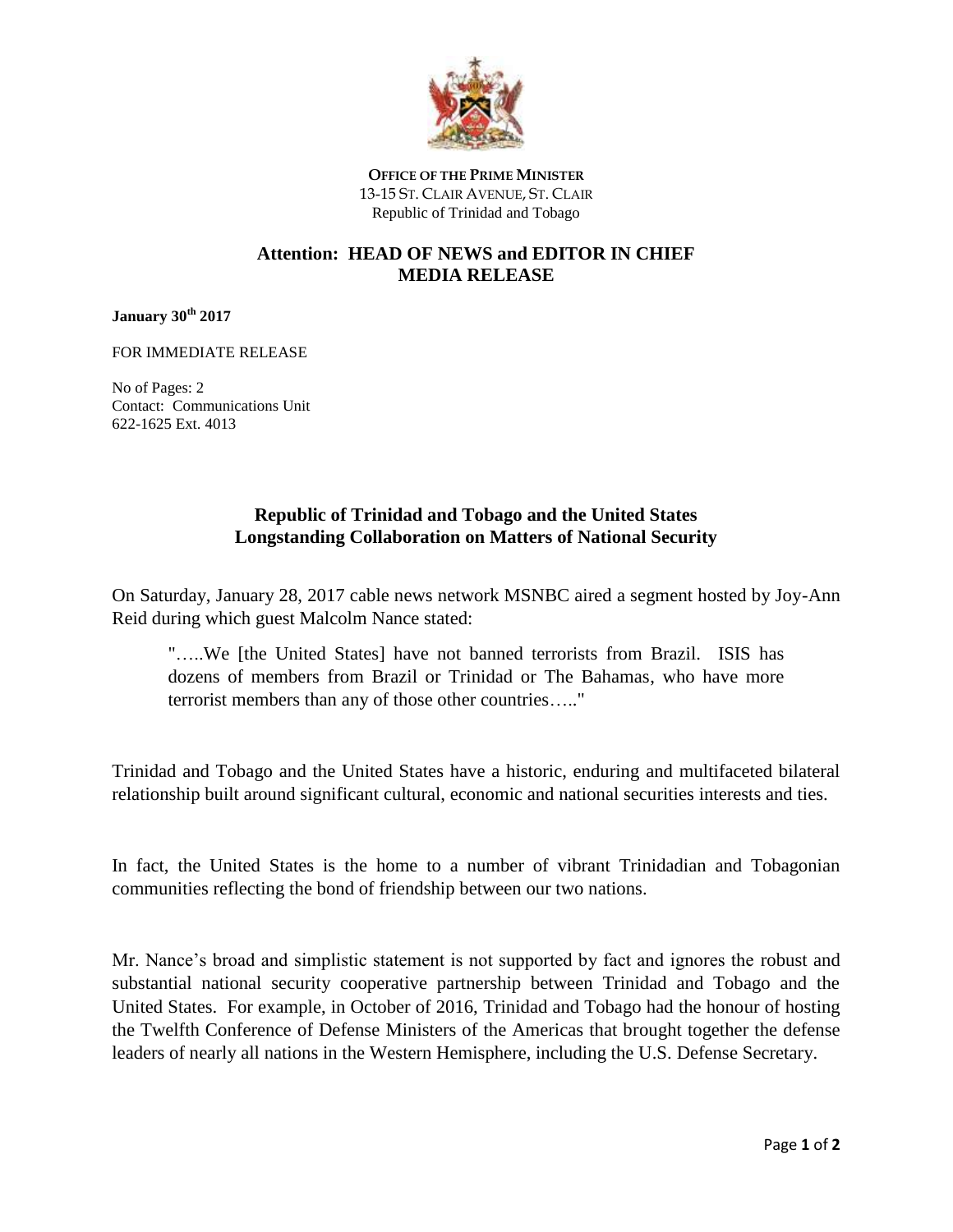

**OFFICE OF THE PRIME MINISTER** 13-15 ST. CLAIR AVENUE, ST. CLAIR Republic of Trinidad and Tobago

## **Attention: HEAD OF NEWS and EDITOR IN CHIEF MEDIA RELEASE**

## **January 30th 2017**

FOR IMMEDIATE RELEASE

No of Pages: 2 Contact: Communications Unit 622-1625 Ext. 4013

## **Republic of Trinidad and Tobago and the United States Longstanding Collaboration on Matters of National Security**

On Saturday, January 28, 2017 cable news network MSNBC aired a segment hosted by Joy-Ann Reid during which guest Malcolm Nance stated:

"…..We [the United States] have not banned terrorists from Brazil. ISIS has dozens of members from Brazil or Trinidad or The Bahamas, who have more terrorist members than any of those other countries….."

Trinidad and Tobago and the United States have a historic, enduring and multifaceted bilateral relationship built around significant cultural, economic and national securities interests and ties.

In fact, the United States is the home to a number of vibrant Trinidadian and Tobagonian communities reflecting the bond of friendship between our two nations.

Mr. Nance's broad and simplistic statement is not supported by fact and ignores the robust and substantial national security cooperative partnership between Trinidad and Tobago and the United States. For example, in October of 2016, Trinidad and Tobago had the honour of hosting the Twelfth Conference of Defense Ministers of the Americas that brought together the defense leaders of nearly all nations in the Western Hemisphere, including the U.S. Defense Secretary.